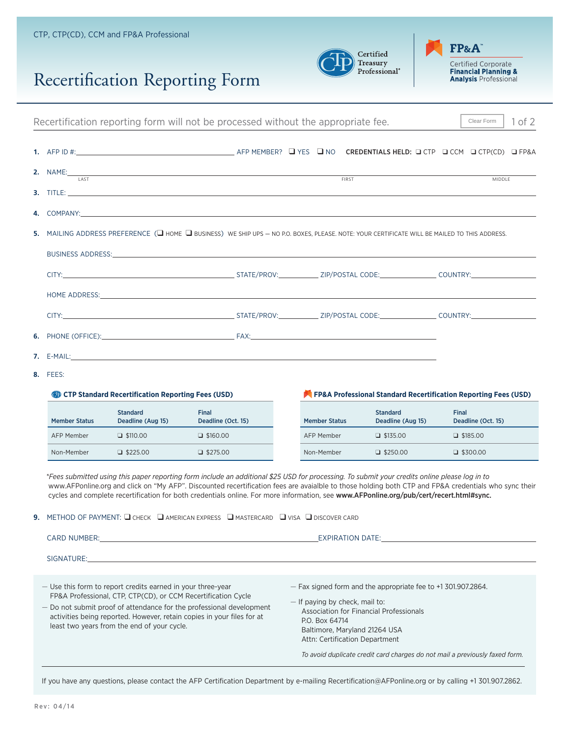## Recertification Reporting Form





| Recertification reporting form will not be processed without the appropriate fee.                                                             |                                                                                                                      |                                      |                                                                                                                                                                                                                                                                                                                                                                                                                                                                                                                                          |  |                      | Clear Form                           | $1$ of $2$   |                    |  |  |
|-----------------------------------------------------------------------------------------------------------------------------------------------|----------------------------------------------------------------------------------------------------------------------|--------------------------------------|------------------------------------------------------------------------------------------------------------------------------------------------------------------------------------------------------------------------------------------------------------------------------------------------------------------------------------------------------------------------------------------------------------------------------------------------------------------------------------------------------------------------------------------|--|----------------------|--------------------------------------|--------------|--------------------|--|--|
|                                                                                                                                               |                                                                                                                      |                                      |                                                                                                                                                                                                                                                                                                                                                                                                                                                                                                                                          |  |                      |                                      |              |                    |  |  |
|                                                                                                                                               | <b>LAST</b>                                                                                                          |                                      |                                                                                                                                                                                                                                                                                                                                                                                                                                                                                                                                          |  |                      | <b>FIRST</b>                         |              | <b>MIDDLE</b>      |  |  |
|                                                                                                                                               |                                                                                                                      |                                      |                                                                                                                                                                                                                                                                                                                                                                                                                                                                                                                                          |  |                      |                                      |              |                    |  |  |
|                                                                                                                                               |                                                                                                                      |                                      |                                                                                                                                                                                                                                                                                                                                                                                                                                                                                                                                          |  |                      |                                      |              |                    |  |  |
| 5. MAILING ADDRESS PREFERENCE (U HOME U BUSINESS) WE SHIP UPS - NO P.O. BOXES, PLEASE. NOTE: YOUR CERTIFICATE WILL BE MAILED TO THIS ADDRESS. |                                                                                                                      |                                      |                                                                                                                                                                                                                                                                                                                                                                                                                                                                                                                                          |  |                      |                                      |              |                    |  |  |
|                                                                                                                                               |                                                                                                                      |                                      |                                                                                                                                                                                                                                                                                                                                                                                                                                                                                                                                          |  |                      |                                      |              |                    |  |  |
|                                                                                                                                               |                                                                                                                      |                                      |                                                                                                                                                                                                                                                                                                                                                                                                                                                                                                                                          |  |                      |                                      |              |                    |  |  |
|                                                                                                                                               |                                                                                                                      |                                      |                                                                                                                                                                                                                                                                                                                                                                                                                                                                                                                                          |  |                      |                                      |              |                    |  |  |
|                                                                                                                                               |                                                                                                                      |                                      | HOME ADDRESS: North and the state of the state of the state of the state of the state of the state of the state of the state of the state of the state of the state of the state of the state of the state of the state of the                                                                                                                                                                                                                                                                                                           |  |                      |                                      |              |                    |  |  |
|                                                                                                                                               |                                                                                                                      |                                      |                                                                                                                                                                                                                                                                                                                                                                                                                                                                                                                                          |  |                      |                                      |              |                    |  |  |
|                                                                                                                                               |                                                                                                                      |                                      |                                                                                                                                                                                                                                                                                                                                                                                                                                                                                                                                          |  |                      |                                      |              |                    |  |  |
|                                                                                                                                               |                                                                                                                      |                                      | <b>7.</b> E-MAIL: <b>E-MAIL: E-MAIL: E-MAIL: E-MAIL: E-MAIL: E-MAIL: E-MAIL: E-MAIL: E-MAIL: E-MAIL: E-MAIL: E-MAIL: E-MAIL: E-MAIL: E-MAIL: E-MAIL: E-MAIL: E-MAIL: E-MAIL: E-MAIL: E-MAIL:</b>                                                                                                                                                                                                                                                                                                                                         |  |                      |                                      |              |                    |  |  |
|                                                                                                                                               | <b>8.</b> FEES:                                                                                                      |                                      |                                                                                                                                                                                                                                                                                                                                                                                                                                                                                                                                          |  |                      |                                      |              |                    |  |  |
|                                                                                                                                               | FP&A Professional Standard Recertification Reporting Fees (USD)<br>CTP Standard Recertification Reporting Fees (USD) |                                      |                                                                                                                                                                                                                                                                                                                                                                                                                                                                                                                                          |  |                      |                                      |              |                    |  |  |
|                                                                                                                                               | <b>Member Status</b>                                                                                                 | <b>Standard</b><br>Deadline (Aug 15) | <b>Final</b><br>Deadline (Oct. 15)                                                                                                                                                                                                                                                                                                                                                                                                                                                                                                       |  | <b>Member Status</b> | <b>Standard</b><br>Deadline (Aug 15) | <b>Final</b> | Deadline (Oct. 15) |  |  |
|                                                                                                                                               | <b>AFP Member</b>                                                                                                    | $\Box$ \$110.00                      | $\Box$ \$160.00                                                                                                                                                                                                                                                                                                                                                                                                                                                                                                                          |  | <b>AFP Member</b>    | $\Box$ \$135.00                      |              | $\Box$ \$185.00    |  |  |
|                                                                                                                                               | Non-Member                                                                                                           | $\Box$ \$225.00                      | $\Box$ \$275.00                                                                                                                                                                                                                                                                                                                                                                                                                                                                                                                          |  | Non-Member           | $\Box$ \$250.00                      |              | $\Box$ \$300.00    |  |  |
|                                                                                                                                               |                                                                                                                      |                                      | *Fees submitted using this paper reporting form include an additional \$25 USD for processing. To submit your credits online please log in to<br>www.AFPonline.org and click on "My AFP". Discounted recertification fees are avaialble to those holding both CTP and FP&A credentials who sync their<br>cycles and complete recertification for both credentials online. For more information, see www.AFPonline.org/pub/cert/recert.html#sync.<br>9. METHOD OF PAYMENT: Q CHECK Q AMERICAN EXPRESS Q MASTERCARD Q VISA Q DISCOVER CARD |  |                      |                                      |              |                    |  |  |

CARD NUMBER: EXPIRATION DATE: SIGNATURE: — Use this form to report credits earned in your three-year FP&A Professional, CTP, CTP(CD), or CCM Recertification Cycle — Do not submit proof of attendance for the professional development activities being reported. However, retain copies in your files for at least two years from the end of your cycle. — Fax signed form and the appropriate fee to +1 301.907.2864. — If paying by check, mail to: Association for Financial Professionals P.O. Box 64714 Baltimore, Maryland 21264 USA Attn: Certification Department *To avoid duplicate credit card charges do not mail a previously faxed form.*

If you have any questions, please contact the AFP Certification Department by e-mailing Recertification@AFPonline.org or by calling +1 301.907.2862.